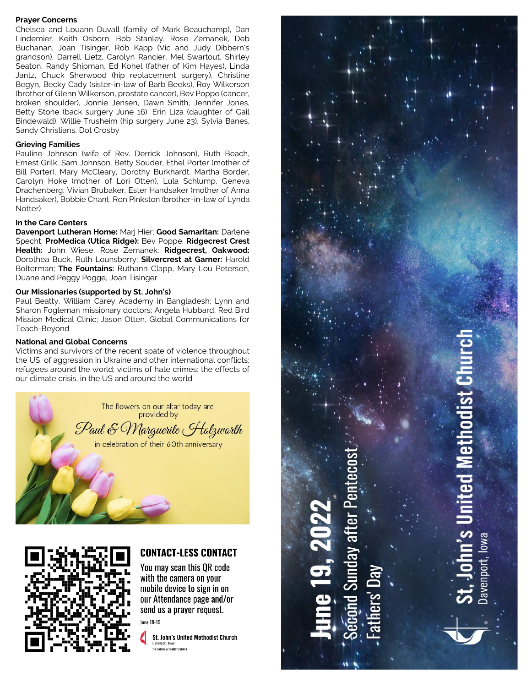#### **Prayer Concerns**

Chelsea and Louann Duvall (family of Mark Beauchamp), Dan Lindemier, Keith Osborn, Bob Stanley, Rose Zemanek, Deb Buchanan, Joan Tisinger, Rob Kapp (Vic and Judy Dibbern's grandson), Darrell Lietz, Carolyn Rancier, Mel Swartout, Shirley Seaton, Randy Shipman, Ed Kohel (father of Kim Hayes), Linda Jantz, Chuck Sherwood (hip replacement surgery), Christine Begyn, Becky Cady (sister-in-law of Barb Beeks), Roy Wilkerson (brother of Glenn Wilkerson, prostate cancer), Bev Poppe (cancer, broken shoulder), Jonnie Jensen, Dawn Smith, Jennifer Jones, Betty Stone (back surgery June 16), Erin Liza (daughter of Gail Bindewald), Willie Trusheim (hip surgery June 23), Sylvia Banes, Sandy Christians, Dot Crosby

#### **Grieving Families**

Pauline Johnson (wife of Rev. Derrick Johnson), Ruth Beach, Ernest Grilk, Sam Johnson, Betty Souder, Ethel Porter (mother of Bill Porter), Mary McCleary, Dorothy Burkhardt. Martha Border, Carolyn Hoke (mother of Lori Otten), Lula Schlump, Geneva Drachenberg, Vivian Brubaker, Ester Handsaker (mother of Anna Handsaker), Bobbie Chant, Ron Pinkston (brother-in-law of Lynda Notter)

#### **In the Care Centers**

**Davenport Lutheran Home:** Marj Hier; **Good Samaritan:** Darlene Specht; **ProMedica (Utica Ridge):** Bev Poppe; **Ridgecrest Crest Health:** John Wiese, Rose Zemanek; **Ridgecrest, Oakwood:**  Dorothea Buck, Ruth Lounsberry; **Silvercrest at Garner:** Harold Bolterman; **The Fountains:** Ruthann Clapp, Mary Lou Petersen, Duane and Peggy Pogge, Joan Tisinger

#### **Our Missionaries (supported by St. John's)**

Paul Beatty, William Carey Academy in Bangladesh; Lynn and Sharon Fogleman missionary doctors; Angela Hubbard, Red Bird Mission Medical Clinic; Jason Otten, Global Communications for Teach-Beyond

#### **National and Global Concerns**

Victims and survivors of the recent spate of violence throughout the US, of aggression in Ukraine and other international conflicts; refugees around the world; victims of hate crimes; the effects of our climate crisis, in the US and around the world





# **CONTACT-LESS CONTACT**

You may scan this OR code with the camera on your mobile device to sign in on our Attendance page and/or send us a prayer request.

**June 18-19** 

St. John's United Methodist Church THE UNITED METHODIST CHURCH